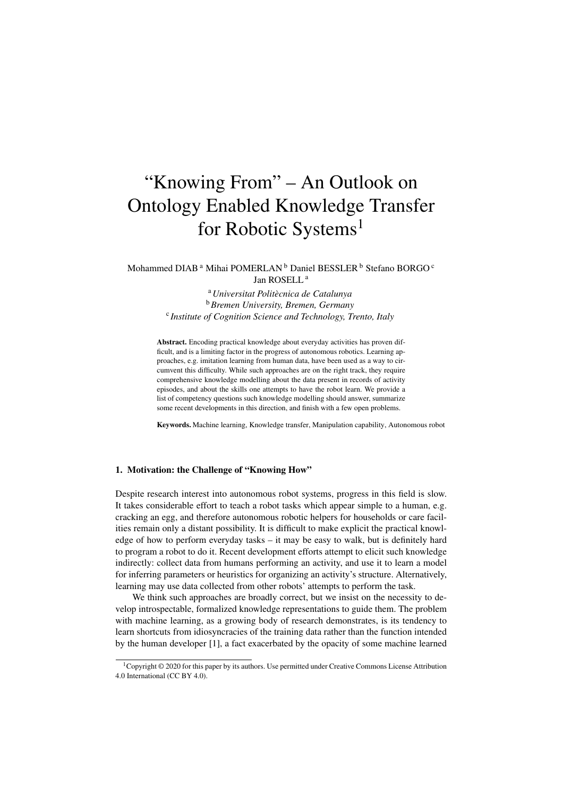# "Knowing From" – An Outlook on Ontology Enabled Knowledge Transfer for Robotic Systems<sup>1</sup>

Mohammed DIAB<sup>a</sup> Mihai POMERLAN<sup>b</sup> Daniel BESSLER<sup>b</sup> Stefano BORGO<sup>c</sup> Jan ROSELL <sup>a</sup>

> <sup>a</sup>*Universitat Politecnica de Catalunya `* <sup>b</sup>*Bremen University, Bremen, Germany* c *Institute of Cognition Science and Technology, Trento, Italy*

Abstract. Encoding practical knowledge about everyday activities has proven difficult, and is a limiting factor in the progress of autonomous robotics. Learning approaches, e.g. imitation learning from human data, have been used as a way to circumvent this difficulty. While such approaches are on the right track, they require comprehensive knowledge modelling about the data present in records of activity episodes, and about the skills one attempts to have the robot learn. We provide a list of competency questions such knowledge modelling should answer, summarize some recent developments in this direction, and finish with a few open problems.

Keywords. Machine learning, Knowledge transfer, Manipulation capability, Autonomous robot

# 1. Motivation: the Challenge of "Knowing How"

Despite research interest into autonomous robot systems, progress in this field is slow. It takes considerable effort to teach a robot tasks which appear simple to a human, e.g. cracking an egg, and therefore autonomous robotic helpers for households or care facilities remain only a distant possibility. It is difficult to make explicit the practical knowledge of how to perform everyday tasks – it may be easy to walk, but is definitely hard to program a robot to do it. Recent development efforts attempt to elicit such knowledge indirectly: collect data from humans performing an activity, and use it to learn a model for inferring parameters or heuristics for organizing an activity's structure. Alternatively, learning may use data collected from other robots' attempts to perform the task.

We think such approaches are broadly correct, but we insist on the necessity to develop introspectable, formalized knowledge representations to guide them. The problem with machine learning, as a growing body of research demonstrates, is its tendency to learn shortcuts from idiosyncracies of the training data rather than the function intended by the human developer [1], a fact exacerbated by the opacity of some machine learned

<sup>&</sup>lt;sup>1</sup>Copyright © 2020 for this paper by its authors. Use permitted under Creative Commons License Attribution 4.0 International (CC BY 4.0).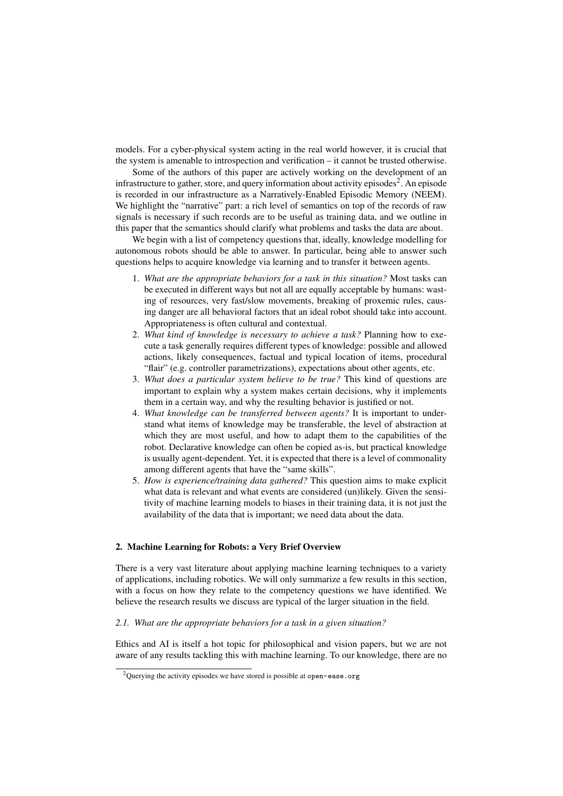models. For a cyber-physical system acting in the real world however, it is crucial that the system is amenable to introspection and verification – it cannot be trusted otherwise.

Some of the authors of this paper are actively working on the development of an infrastructure to gather, store, and query information about activity episodes<sup>2</sup>. An episode is recorded in our infrastructure as a Narratively-Enabled Episodic Memory (NEEM). We highlight the "narrative" part: a rich level of semantics on top of the records of raw signals is necessary if such records are to be useful as training data, and we outline in this paper that the semantics should clarify what problems and tasks the data are about.

We begin with a list of competency questions that, ideally, knowledge modelling for autonomous robots should be able to answer. In particular, being able to answer such questions helps to acquire knowledge via learning and to transfer it between agents.

- 1. *What are the appropriate behaviors for a task in this situation?* Most tasks can be executed in different ways but not all are equally acceptable by humans: wasting of resources, very fast/slow movements, breaking of proxemic rules, causing danger are all behavioral factors that an ideal robot should take into account. Appropriateness is often cultural and contextual.
- 2. *What kind of knowledge is necessary to achieve a task?* Planning how to execute a task generally requires different types of knowledge: possible and allowed actions, likely consequences, factual and typical location of items, procedural "flair" (e.g. controller parametrizations), expectations about other agents, etc.
- 3. *What does a particular system believe to be true?* This kind of questions are important to explain why a system makes certain decisions, why it implements them in a certain way, and why the resulting behavior is justified or not.
- 4. *What knowledge can be transferred between agents?* It is important to understand what items of knowledge may be transferable, the level of abstraction at which they are most useful, and how to adapt them to the capabilities of the robot. Declarative knowledge can often be copied as-is, but practical knowledge is usually agent-dependent. Yet, it is expected that there is a level of commonality among different agents that have the "same skills".
- 5. *How is experience/training data gathered?* This question aims to make explicit what data is relevant and what events are considered (un)likely. Given the sensitivity of machine learning models to biases in their training data, it is not just the availability of the data that is important; we need data about the data.

# 2. Machine Learning for Robots: a Very Brief Overview

There is a very vast literature about applying machine learning techniques to a variety of applications, including robotics. We will only summarize a few results in this section, with a focus on how they relate to the competency questions we have identified. We believe the research results we discuss are typical of the larger situation in the field.

# *2.1. What are the appropriate behaviors for a task in a given situation?*

Ethics and AI is itself a hot topic for philosophical and vision papers, but we are not aware of any results tackling this with machine learning. To our knowledge, there are no

<sup>&</sup>lt;sup>2</sup>Querying the activity episodes we have stored is possible at open-ease.org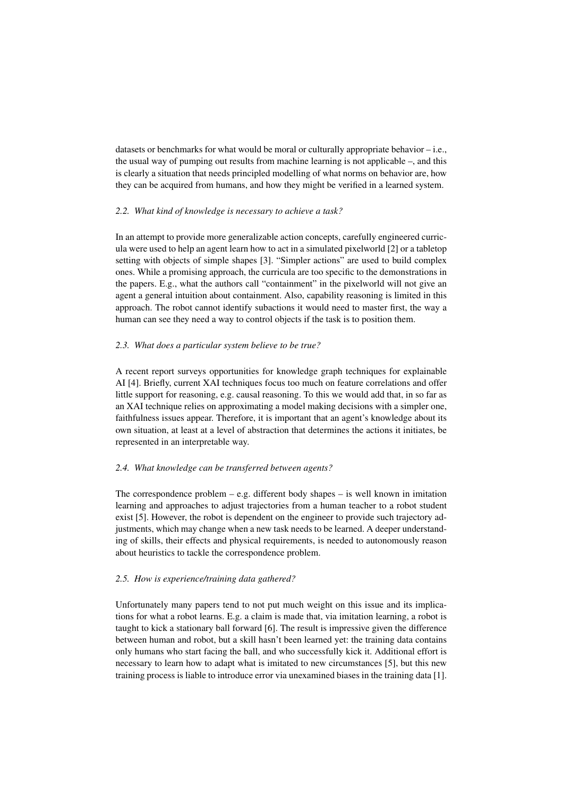datasets or benchmarks for what would be moral or culturally appropriate behavior – i.e., the usual way of pumping out results from machine learning is not applicable –, and this is clearly a situation that needs principled modelling of what norms on behavior are, how they can be acquired from humans, and how they might be verified in a learned system.

# *2.2. What kind of knowledge is necessary to achieve a task?*

In an attempt to provide more generalizable action concepts, carefully engineered curricula were used to help an agent learn how to act in a simulated pixelworld [2] or a tabletop setting with objects of simple shapes [3]. "Simpler actions" are used to build complex ones. While a promising approach, the curricula are too specific to the demonstrations in the papers. E.g., what the authors call "containment" in the pixelworld will not give an agent a general intuition about containment. Also, capability reasoning is limited in this approach. The robot cannot identify subactions it would need to master first, the way a human can see they need a way to control objects if the task is to position them.

## *2.3. What does a particular system believe to be true?*

A recent report surveys opportunities for knowledge graph techniques for explainable AI [4]. Briefly, current XAI techniques focus too much on feature correlations and offer little support for reasoning, e.g. causal reasoning. To this we would add that, in so far as an XAI technique relies on approximating a model making decisions with a simpler one, faithfulness issues appear. Therefore, it is important that an agent's knowledge about its own situation, at least at a level of abstraction that determines the actions it initiates, be represented in an interpretable way.

#### *2.4. What knowledge can be transferred between agents?*

The correspondence problem  $-$  e.g. different body shapes  $-$  is well known in imitation learning and approaches to adjust trajectories from a human teacher to a robot student exist [5]. However, the robot is dependent on the engineer to provide such trajectory adjustments, which may change when a new task needs to be learned. A deeper understanding of skills, their effects and physical requirements, is needed to autonomously reason about heuristics to tackle the correspondence problem.

# *2.5. How is experience/training data gathered?*

Unfortunately many papers tend to not put much weight on this issue and its implications for what a robot learns. E.g. a claim is made that, via imitation learning, a robot is taught to kick a stationary ball forward [6]. The result is impressive given the difference between human and robot, but a skill hasn't been learned yet: the training data contains only humans who start facing the ball, and who successfully kick it. Additional effort is necessary to learn how to adapt what is imitated to new circumstances [5], but this new training process is liable to introduce error via unexamined biases in the training data [1].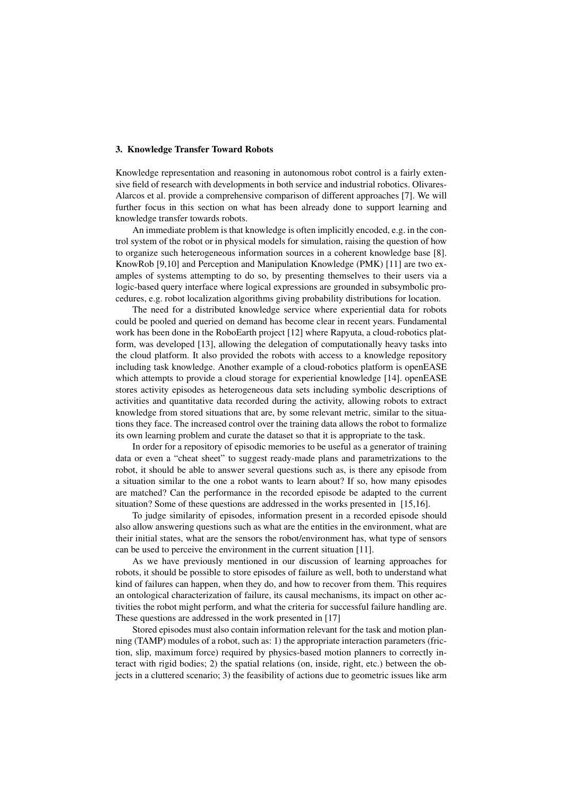# 3. Knowledge Transfer Toward Robots

Knowledge representation and reasoning in autonomous robot control is a fairly extensive field of research with developments in both service and industrial robotics. Olivares-Alarcos et al. provide a comprehensive comparison of different approaches [7]. We will further focus in this section on what has been already done to support learning and knowledge transfer towards robots.

An immediate problem is that knowledge is often implicitly encoded, e.g. in the control system of the robot or in physical models for simulation, raising the question of how to organize such heterogeneous information sources in a coherent knowledge base [8]. KnowRob [9,10] and Perception and Manipulation Knowledge (PMK) [11] are two examples of systems attempting to do so, by presenting themselves to their users via a logic-based query interface where logical expressions are grounded in subsymbolic procedures, e.g. robot localization algorithms giving probability distributions for location.

The need for a distributed knowledge service where experiential data for robots could be pooled and queried on demand has become clear in recent years. Fundamental work has been done in the RoboEarth project [12] where Rapyuta, a cloud-robotics platform, was developed [13], allowing the delegation of computationally heavy tasks into the cloud platform. It also provided the robots with access to a knowledge repository including task knowledge. Another example of a cloud-robotics platform is openEASE which attempts to provide a cloud storage for experiential knowledge [14]. openEASE stores activity episodes as heterogeneous data sets including symbolic descriptions of activities and quantitative data recorded during the activity, allowing robots to extract knowledge from stored situations that are, by some relevant metric, similar to the situations they face. The increased control over the training data allows the robot to formalize its own learning problem and curate the dataset so that it is appropriate to the task.

In order for a repository of episodic memories to be useful as a generator of training data or even a "cheat sheet" to suggest ready-made plans and parametrizations to the robot, it should be able to answer several questions such as, is there any episode from a situation similar to the one a robot wants to learn about? If so, how many episodes are matched? Can the performance in the recorded episode be adapted to the current situation? Some of these questions are addressed in the works presented in [15,16].

To judge similarity of episodes, information present in a recorded episode should also allow answering questions such as what are the entities in the environment, what are their initial states, what are the sensors the robot/environment has, what type of sensors can be used to perceive the environment in the current situation [11].

As we have previously mentioned in our discussion of learning approaches for robots, it should be possible to store episodes of failure as well, both to understand what kind of failures can happen, when they do, and how to recover from them. This requires an ontological characterization of failure, its causal mechanisms, its impact on other activities the robot might perform, and what the criteria for successful failure handling are. These questions are addressed in the work presented in [17]

Stored episodes must also contain information relevant for the task and motion planning (TAMP) modules of a robot, such as: 1) the appropriate interaction parameters (friction, slip, maximum force) required by physics-based motion planners to correctly interact with rigid bodies; 2) the spatial relations (on, inside, right, etc.) between the objects in a cluttered scenario; 3) the feasibility of actions due to geometric issues like arm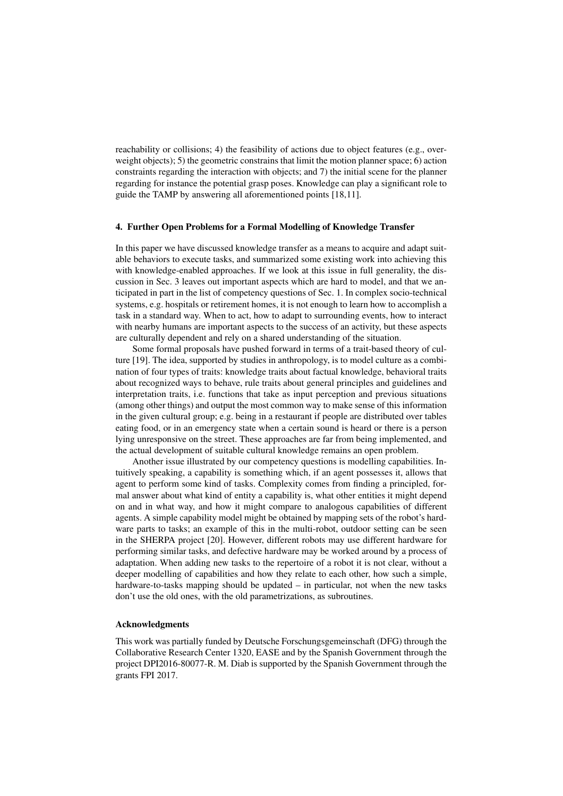reachability or collisions; 4) the feasibility of actions due to object features (e.g., overweight objects); 5) the geometric constrains that limit the motion planner space; 6) action constraints regarding the interaction with objects; and 7) the initial scene for the planner regarding for instance the potential grasp poses. Knowledge can play a significant role to guide the TAMP by answering all aforementioned points [18,11].

#### 4. Further Open Problems for a Formal Modelling of Knowledge Transfer

In this paper we have discussed knowledge transfer as a means to acquire and adapt suitable behaviors to execute tasks, and summarized some existing work into achieving this with knowledge-enabled approaches. If we look at this issue in full generality, the discussion in Sec. 3 leaves out important aspects which are hard to model, and that we anticipated in part in the list of competency questions of Sec. 1. In complex socio-technical systems, e.g. hospitals or retirement homes, it is not enough to learn how to accomplish a task in a standard way. When to act, how to adapt to surrounding events, how to interact with nearby humans are important aspects to the success of an activity, but these aspects are culturally dependent and rely on a shared understanding of the situation.

Some formal proposals have pushed forward in terms of a trait-based theory of culture [19]. The idea, supported by studies in anthropology, is to model culture as a combination of four types of traits: knowledge traits about factual knowledge, behavioral traits about recognized ways to behave, rule traits about general principles and guidelines and interpretation traits, i.e. functions that take as input perception and previous situations (among other things) and output the most common way to make sense of this information in the given cultural group; e.g. being in a restaurant if people are distributed over tables eating food, or in an emergency state when a certain sound is heard or there is a person lying unresponsive on the street. These approaches are far from being implemented, and the actual development of suitable cultural knowledge remains an open problem.

Another issue illustrated by our competency questions is modelling capabilities. Intuitively speaking, a capability is something which, if an agent possesses it, allows that agent to perform some kind of tasks. Complexity comes from finding a principled, formal answer about what kind of entity a capability is, what other entities it might depend on and in what way, and how it might compare to analogous capabilities of different agents. A simple capability model might be obtained by mapping sets of the robot's hardware parts to tasks; an example of this in the multi-robot, outdoor setting can be seen in the SHERPA project [20]. However, different robots may use different hardware for performing similar tasks, and defective hardware may be worked around by a process of adaptation. When adding new tasks to the repertoire of a robot it is not clear, without a deeper modelling of capabilities and how they relate to each other, how such a simple, hardware-to-tasks mapping should be updated – in particular, not when the new tasks don't use the old ones, with the old parametrizations, as subroutines.

#### Acknowledgments

This work was partially funded by Deutsche Forschungsgemeinschaft (DFG) through the Collaborative Research Center 1320, EASE and by the Spanish Government through the project DPI2016-80077-R. M. Diab is supported by the Spanish Government through the grants FPI 2017.